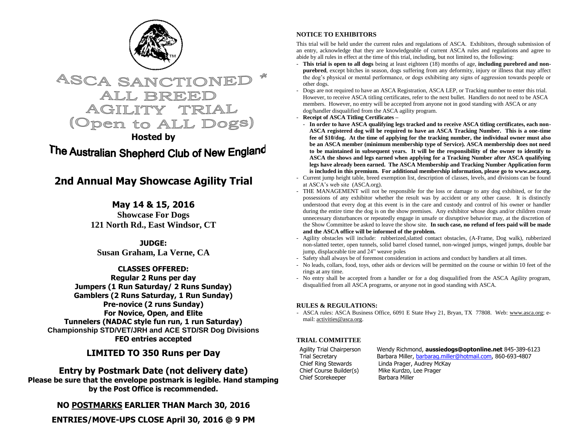



**Hosted by**

# The Australian Shepherd Club of New England

## **2nd Annual May Showcase Agility Trial**

### **May 14 & 15, 2016**

**Showcase For Dogs 121 North Rd., East Windsor, CT**

**JUDGE: Susan Graham, La Verne, CA**

**CLASSES OFFERED:**

**Regular 2 Runs per day Jumpers (1 Run Saturday/ 2 Runs Sunday) Gamblers (2 Runs Saturday, 1 Run Sunday) Pre-novice (2 runs Sunday) For Novice, Open, and Elite Tunnelers (NADAC style fun run, 1 run Saturday) Championship STD/VET/JRH and ACE STD/SR Dog Divisions FEO entries accepted**

## **LIMITED TO 350 Runs per Day**

**Entry by Postmark Date (not delivery date) Please be sure that the envelope postmark is legible. Hand stamping by the Post Office is recommended.** 

**NO POSTMARKS EARLIER THAN March 30, 2016**

**ENTRIES/MOVE-UPS CLOSE April 30, 2016 @ 9 PM**

### **NOTICE TO EXHIBITORS**

This trial will be held under the current rules and regulations of ASCA. Exhibitors, through submission of an entry, acknowledge that they are knowledgeable of current ASCA rules and regulations and agree to abide by all rules in effect at the time of this trial, including, but not limited to, the following:

- **This trial is open to all dogs** being at least eighteen (18) months of age, **including purebred and nonpurebred**, except bitches in season, dogs suffering from any deformity, injury or illness that may affect the dog's physical or mental performance, or dogs exhibiting any signs of aggression towards people or other dogs.
- Dogs are not required to have an ASCA Registration, ASCA LEP, or Tracking number to enter this trial. However, to receive ASCA titling certificates, refer to the next bullet. Handlers do not need to be ASCA members. However, no entry will be accepted from anyone not in good standing with ASCA or any dog/handler disqualified from the ASCA agility program.
- **Receipt of ASCA Titling Certificates –**
- **In order to have ASCA qualifying legs tracked and to receive ASCA titling certificates, each non-ASCA registered dog will be required to have an ASCA Tracking Number. This is a one-time fee of \$10/dog. At the time of applying for the tracking number, the individual owner must also be an ASCA member (minimum membership type of Service). ASCA membership does not need to be maintained in subsequent years. It will be the responsibility of the owner to identify to ASCA the shows and legs earned when applying for a Tracking Number after ASCA qualifying legs have already been earned. The ASCA Membership and Tracking Number Application form is included in this premium. For additional membership information, please go to www.asca.org.**
- Current jump height table, breed exemption list, description of classes, levels, and divisions can be found at ASCA's web site (ASCA.org).
- THE MANAGEMENT will not be responsible for the loss or damage to any dog exhibited, or for the possessions of any exhibitor whether the result was by accident or any other cause. It is distinctly understood that every dog at this event is in the care and custody and control of his owner or handler during the entire time the dog is on the show premises. Any exhibitor whose dogs and/or children create unnecessary disturbances or repeatedly engage in unsafe or disruptive behavior may, at the discretion of the Show Committee be asked to leave the show site. **In such case, no refund of fees paid will be made and the ASCA office will be informed of the problem.**
- Agility obstacles will include: rubberized,slatted contact obstacles, (A-Frame, Dog walk), rubberized non-slatted teeter, open tunnels, solid barrel closed tunnel, non-winged jumps, winged jumps, double bar jump, displaceable tire and 24" weave poles
- Safety shall always be of foremost consideration in actions and conduct by handlers at all times.
- No leads, collars, food, toys, other aids or devices will be permitted on the course or within 10 feet of the rings at any time.
- No entry shall be accepted from a handler or for a dog disqualified from the ASCA Agility program, disqualified from all ASCA programs, or anyone not in good standing with ASCA.

#### **RULES & REGULATIONS:**

- ASCA rules: ASCA Business Office, 6091 E State Hwy 21, Bryan, TX 77808. Web[: www.asca.org;](http://www.asca.org/) email[: activities@asca.org.](mailto:activities@asca.org)

#### **TRIAL COMMITTEE**

Chief Scorekeeper Barbara Miller

Agility Trial Chairperson Wendy Richmond, **aussiedogs@optonline.net** 845-389-6123 Trial Secretary **Barbara Miller**, **barbarag.miller@hotmail.com**, 860-693-4807 Chief Ring Stewards Linda Prager, Audrey McKay Chief Course Builder(s) Mike Kurdzo, Lee Prager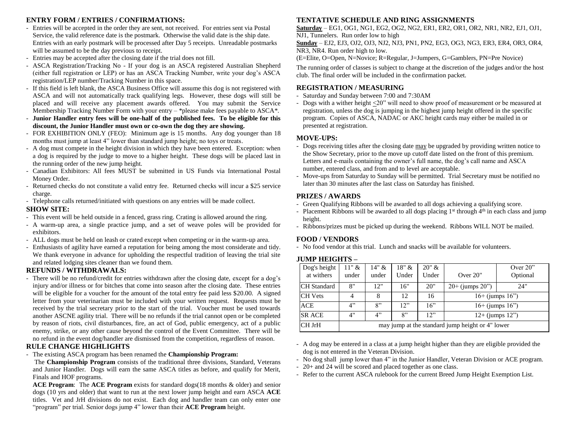#### **ENTRY FORM / ENTRIES / CONFIRMATIONS:**

- Entries will be accepted in the order they are sent, not received. For entries sent via Postal Service, the valid reference date is the postmark. Otherwise the valid date is the ship date. Entries with an early postmark will be processed after Day 5 receipts. Unreadable postmarks will be assumed to be the day previous to receipt.
- Entries may be accepted after the closing date if the trial does not fill.
- ASCA Registration/Tracking No If your dog is an ASCA registered Australian Shepherd (either full registration or LEP) or has an ASCA Tracking Number, write your dog's ASCA registration/LEP number/Tracking Number in this space.
- If this field is left blank, the ASCA Business Office will assume this dog is not registered with ASCA and will not automatically track qualifying legs. However, these dogs will still be placed and will receive any placement awards offered. You may submit the Service Membership Tracking Number Form with your entry  $-$  \*please make fees payable to ASCA\*.
- **Junior Handler entry fees will be one-half of the published fees. To be eligible for this discount, the Junior Handler must own or co-own the dog they are showing.**
- FOR EXHIBITION ONLY (FEO): Minimum age is 15 months. Any dog younger than 18 months must jump at least 4" lower than standard jump height; no toys or treats.
- A dog must compete in the height division in which they have been entered. Exception: when a dog is required by the judge to move to a higher height. These dogs will be placed last in the running order of the new jump height.
- Canadian Exhibitors: All fees MUST be submitted in US Funds via International Postal Money Order.
- Returned checks do not constitute a valid entry fee. Returned checks will incur a \$25 service charge.
- Telephone calls returned/initiated with questions on any entries will be made collect.

#### **SHOW SITE:**

- This event will be held outside in a fenced, grass ring. Crating is allowed around the ring.
- A warm-up area, a single practice jump, and a set of weave poles will be provided for exhibitors.
- ALL dogs must be held on leash or crated except when competing or in the warm-up area.
- Enthusiasts of agility have earned a reputation for being among the most considerate and tidy. We thank everyone in advance for upholding the respectful tradition of leaving the trial site and related lodging sites cleaner than we found them.

#### **REFUNDS / WITHDRAWALS:**

- There will be no refund/credit for entries withdrawn after the closing date, except for a dog's injury and/or illness or for bitches that come into season after the closing date. These entries will be eligible for a voucher for the amount of the total entry fee paid less \$20.00. A signed letter from your veterinarian must be included with your written request. Requests must be received by the trial secretary prior to the start of the trial. Voucher must be used towards another ASCNE agility trial. There will be no refunds if the trial cannot open or be completed by reason of riots, civil disturbances, fire, an act of God, public emergency, act of a public enemy, strike, or any other cause beyond the control of the Event Committee. There will be no refund in the event dog/handler are dismissed from the competition, regardless of reason.

#### **RULE CHANGE HIGHLIGHTS**

- The existing ASCA program has been renamed the **Championship Program:**

The **Championship Program** consists of the traditional three divisions, Standard, Veterans and Junior Handler. Dogs will earn the same ASCA titles as before, and qualify for Merit, Finals and HOF programs.

**ACE Program**: The **ACE Program** exists for standard dogs(18 months & older) and senior dogs (10 yrs and older) that want to run at the next lower jump height and earn ASCA **ACE** titles. Vet and JrH divisions do not exist. Each dog and handler team can only enter one "program" per trial. Senior dogs jump 4" lower than their **ACE Program** height.

#### **TENTATIVE SCHEDULE AND RING ASSIGNMENTS**

**Saturday** – EG1, OG1, NG1, EG2, OG2, NG2, ER1, ER2, OR1, OR2, NR1, NR2, EJ1, OJ1, NJ1, Tunnelers. Run order low to high

**Sunday** – EJ2, EJ3, OJ2, OJ3, NJ2, NJ3, PN1, PN2, EG3, OG3, NG3, ER3, ER4, OR3, OR4, NR3, NR4. Run order high to low.

(E=Elite, O=Open, N=Novice; R=Regular, J=Jumpers, G=Gamblers, PN=Pre Novice)

The running order of classes is subject to change at the discretion of the judges and/or the host club. The final order will be included in the confirmation packet.

### **REGISTRATION / MEASURING**

- Saturday and Sunday between 7:00 and 7:30AM
- Dogs with a wither height <20" will need to show proof of measurement or be measured at registration, unless the dog is jumping in the highest jump height offered in the specific program. Copies of ASCA, NADAC or AKC height cards may either be mailed in or presented at registration.

#### **MOVE-UPS:**

- Dogs receiving titles after the closing date may be upgraded by providing written notice to the Show Secretary, prior to the move up cutoff date listed on the front of this premium. Letters and e-mails containing the owner's full name, the dog's call name and ASCA number, entered class, and from and to level are acceptable.
- Move-ups from Saturday to Sunday will be permitted. Trial Secretary must be notified no later than 30 minutes after the last class on Saturday has finished.

#### **PRIZES / AWARDS**

- Green Qualifying Ribbons will be awarded to all dogs achieving a qualifying score.
- Placement Ribbons will be awarded to all dogs placing  $1<sup>st</sup>$  through  $4<sup>th</sup>$  in each class and jump height.
- Ribbons/prizes must be picked up during the weekend. Ribbons WILL NOT be mailed.

#### **FOOD / VENDORS**

- No food vendor at this trial. Lunch and snacks will be available for volunteers.

#### **JUMP HEIGHTS –**

| Dog's height<br>at withers | $11"$ &<br>under                                 | $14" \&$<br>under | $18"$ &<br>Under | 20" &<br>Under | Over $20$ "                 | Over $20$ "<br>Optional |  |  |  |  |
|----------------------------|--------------------------------------------------|-------------------|------------------|----------------|-----------------------------|-------------------------|--|--|--|--|
| <b>CH</b> Standard         | 8"                                               | 12"               | 16"              | 20"            | $20+$ (jumps $20$ ")<br>24" |                         |  |  |  |  |
| <b>CH</b> Vets             | 4                                                | 8                 | 12               | 16             | $16+$ (jumps $16"$ )        |                         |  |  |  |  |
| <b>ACE</b>                 | 4"                                               | 8"                | 12"              | 16"            | $16+$ (jumps $16"$ )        |                         |  |  |  |  |
| <b>SR ACE</b>              | 4"                                               | 4"                | 8"               | 12"            | $12+$ (jumps $12"$ )        |                         |  |  |  |  |
| CH JrH                     | may jump at the standard jump height or 4" lower |                   |                  |                |                             |                         |  |  |  |  |

- A dog may be entered in a class at a jump height higher than they are eligible provided the dog is not entered in the Veteran Division.

- No dog shall jump lower than 4" in the Junior Handler, Veteran Division or ACE program.
- 20+ and 24 will be scored and placed together as one class.
- Refer to the current ASCA rulebook for the current Breed Jump Height Exemption List.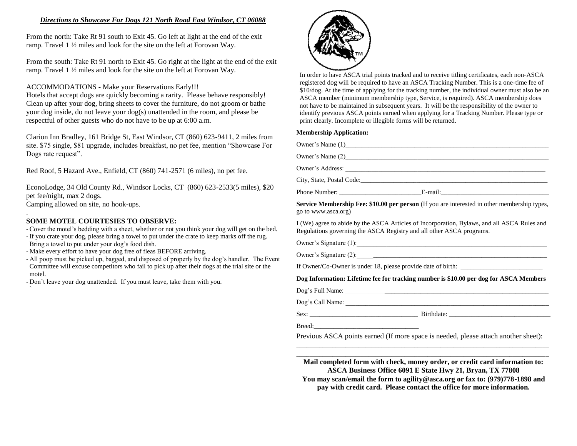#### *Directions to Showcase For Dogs 121 North Road East Windsor, CT 06088*

From the north: Take Rt 91 south to Exit 45. Go left at light at the end of the exit ramp. Travel 1 ½ miles and look for the site on the left at Forovan Way.

From the south: Take Rt 91 north to Exit 45. Go right at the light at the end of the exit ramp. Travel 1 ½ miles and look for the site on the left at Forovan Way.

ACCOMMODATIONS - Make your Reservations Early!!!

Hotels that accept dogs are quickly becoming a rarity. Please behave responsibly! Clean up after your dog, bring sheets to cover the furniture, do not groom or bathe your dog inside, do not leave your dog(s) unattended in the room, and please be respectful of other guests who do not have to be up at 6:00 a.m.

Clarion Inn Bradley, 161 Bridge St, East Windsor, CT (860) 623-9411, 2 miles from site. \$75 single, \$81 upgrade, includes breakfast, no pet fee, mention "Showcase For Dogs rate request".

Red Roof, 5 Hazard Ave., Enfield, CT (860) 741-2571 (6 miles), no pet fee.

EconoLodge, 34 Old County Rd., Windsor Locks, CT (860) 623-2533(5 miles), \$20 pet fee/night, max 2 dogs. Camping allowed on site, no hook-ups.

#### . **SOME MOTEL COURTESIES TO OBSERVE:**

- Cover the motel's bedding with a sheet, whether or not you think your dog will get on the bed.

- If you crate your dog, please bring a towel to put under the crate to keep marks off the rug.

- Bring a towel to put under your dog's food dish.
- Make every effort to have your dog free of fleas BEFORE arriving.
- All poop must be picked up, bagged, and disposed of properly by the dog's handler. The Event Committee will excuse competitors who fail to pick up after their dogs at the trial site or the motel.

- Don't leave your dog unattended. If you must leave, take them with you. `



In order to have ASCA trial points tracked and to receive titling certificates, each non‐ASCA registered dog will be required to have an ASCA Tracking Number. This is a one-time fee of \$10/dog. At the time of applying for the tracking number, the individual owner must also be an ASCA member (minimum membership type, Service, is required). ASCA membership does not have to be maintained in subsequent years. It will be the responsibility of the owner to identify previous ASCA points earned when applying for a Tracking Number. Please type or print clearly. Incomplete or illegible forms will be returned.

#### **Membership Application:**

|                     | City, State, Postal Code:                                                                    |  |
|---------------------|----------------------------------------------------------------------------------------------|--|
|                     |                                                                                              |  |
| go to www.asca.org) | Service Membership Fee: \$10.00 per person (If you are interested in other membership types, |  |

I (We) agree to abide by the ASCA Articles of Incorporation, Bylaws, and all ASCA Rules and Regulations governing the ASCA Registry and all other ASCA programs.

Owner's Signature (1):\_\_\_\_\_\_\_\_\_\_\_\_\_\_\_\_\_\_\_\_\_\_\_\_\_\_\_\_\_\_\_\_\_\_\_\_\_\_\_\_\_\_\_\_\_\_\_\_\_\_\_\_\_\_\_\_\_\_

Owner's Signature  $(2)$ :

If Owner/Co-Owner is under 18, please provide date of birth: \_\_\_\_\_\_\_\_\_\_\_\_\_\_\_\_\_\_\_\_

#### **Dog Information: Lifetime fee for tracking number is \$10.00 per dog for ASCA Members**

Dog's Full Name: \_\_\_\_\_\_\_\_\_\_\_\_\_\_\_\_\_\_\_\_\_\_\_\_\_\_\_\_\_\_\_\_\_\_\_\_\_\_\_\_\_\_\_\_\_\_\_\_\_\_\_\_\_\_\_\_\_\_\_\_\_\_

Dog's Call Name: \_\_\_\_\_\_\_\_\_\_\_\_\_\_\_\_\_\_\_\_\_\_\_\_\_\_\_\_\_\_\_\_\_\_\_\_\_\_\_\_\_\_\_\_\_\_\_\_\_\_\_\_\_\_\_\_\_\_\_\_\_\_

Sex: **Execute Birthdate:**  $\overline{B}$ 

Breed:

Previous ASCA points earned (If more space is needed, please attach another sheet): \_\_\_\_\_\_\_\_\_\_\_\_\_\_\_\_\_\_\_\_\_\_\_\_\_\_\_\_\_\_\_\_\_\_\_\_\_\_\_\_\_\_\_\_\_\_\_\_\_\_\_\_\_\_\_\_\_\_\_\_\_\_\_\_\_\_\_\_\_\_\_\_\_\_\_\_\_

\_\_\_\_\_\_\_\_\_\_\_\_\_\_\_\_\_\_\_\_\_\_\_\_\_\_\_\_\_\_\_\_\_\_\_\_\_\_\_\_\_\_\_\_\_\_\_\_\_\_\_\_\_\_\_\_\_\_\_\_\_\_\_\_\_\_\_\_\_\_\_\_\_\_\_\_\_ **Mail completed form with check, money order, or credit card information to: ASCA Business Office 6091 E State Hwy 21, Bryan, TX 77808 You may scan/email the form to agility@asca.org or fax to: (979)778**‐**1898 and pay with credit card. Please contact the office for more information.**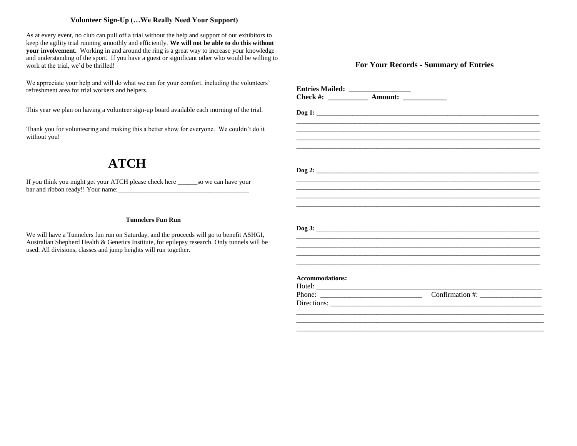#### **Volunteer Sign-Up (…We Really Need Your Support)**

As at every event, no club can pull off a trial without the help and support of our exhibitors to keep the agility trial running smoothly and efficiently. **We will not be able to do this without your involvement.** Working in and around the ring is a great way to increase your knowledge and understanding of the sport. If you have a guest or significant other who would be willing to work at the trial, we'd be thrilled!

We appreciate your help and will do what we can for your comfort, including the volunteers' refreshment area for trial workers and helpers.

This year we plan on having a volunteer sign-up board available each morning of the trial.

Thank you for volunteering and making this a better show for everyone. We couldn't do it without you!

## **ATCH**

If you think you might get your ATCH please check here \_\_\_\_\_\_so we can have your bar and ribbon ready!! Your name:

#### **Tunnelers Fun Run**

We will have a Tunnelers fun run on Saturday, and the proceeds will go to benefit ASHGI, Australian Shepherd Health & Genetics Institute, for epilepsy research. Only tunnels will be used. All divisions, classes and jump heights will run together.

#### **For Your Records - Summary of Entries**

| Check #: ______________ Amount: ______________ |  |  |
|------------------------------------------------|--|--|
|                                                |  |  |
|                                                |  |  |
|                                                |  |  |
|                                                |  |  |
|                                                |  |  |
|                                                |  |  |
|                                                |  |  |
|                                                |  |  |
|                                                |  |  |
|                                                |  |  |
|                                                |  |  |
|                                                |  |  |
|                                                |  |  |
|                                                |  |  |
|                                                |  |  |
|                                                |  |  |
|                                                |  |  |
|                                                |  |  |
|                                                |  |  |
| <b>Accommodations:</b>                         |  |  |
|                                                |  |  |
|                                                |  |  |
|                                                |  |  |
|                                                |  |  |
|                                                |  |  |
|                                                |  |  |